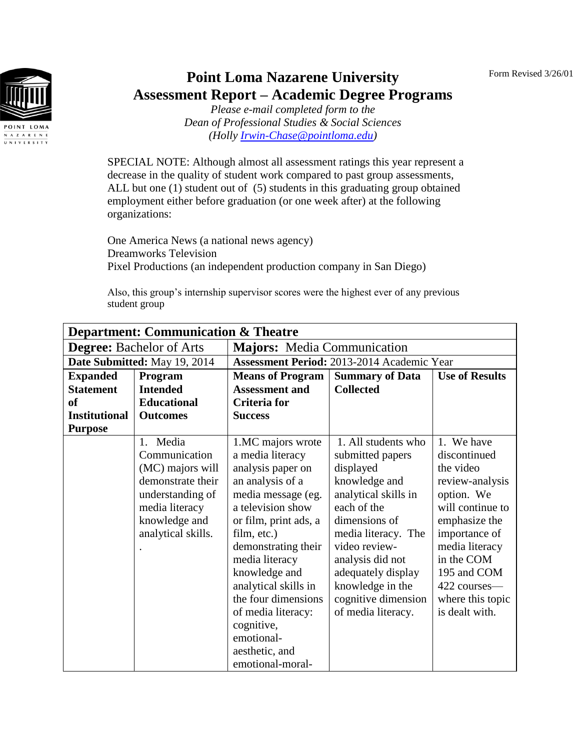Form Revised 3/26/01



## **Point Loma Nazarene University Assessment Report – Academic Degree Programs**

*Please e-mail completed form to the Dean of Professional Studies & Social Sciences (Holly [Irwin-Chase@pointloma.edu\)](mailto:Irwin-Chase@pointloma.edu)*

SPECIAL NOTE: Although almost all assessment ratings this year represent a decrease in the quality of student work compared to past group assessments, ALL but one (1) student out of (5) students in this graduating group obtained employment either before graduation (or one week after) at the following organizations:

One America News (a national news agency) Dreamworks Television Pixel Productions (an independent production company in San Diego)

Also, this group's internship supervisor scores were the highest ever of any previous student group

| <b>Department: Communication &amp; Theatre</b> |                      |                                                                            |                      |                  |  |
|------------------------------------------------|----------------------|----------------------------------------------------------------------------|----------------------|------------------|--|
| <b>Degree:</b> Bachelor of Arts                |                      | <b>Majors:</b> Media Communication                                         |                      |                  |  |
| Date Submitted: May 19, 2014                   |                      | <b>Assessment Period: 2013-2014 Academic Year</b>                          |                      |                  |  |
| <b>Expanded</b>                                | Program              | <b>Summary of Data</b><br><b>Use of Results</b><br><b>Means of Program</b> |                      |                  |  |
| <b>Statement</b>                               | <b>Intended</b>      | <b>Assessment and</b>                                                      | <b>Collected</b>     |                  |  |
| <sub>of</sub>                                  | <b>Educational</b>   | Criteria for                                                               |                      |                  |  |
| <b>Institutional</b>                           | <b>Outcomes</b>      | <b>Success</b>                                                             |                      |                  |  |
| <b>Purpose</b>                                 |                      |                                                                            |                      |                  |  |
|                                                | Media<br>$1_{\cdot}$ | 1.MC majors wrote                                                          | 1. All students who  | 1. We have       |  |
|                                                | Communication        | a media literacy                                                           | submitted papers     | discontinued     |  |
|                                                | (MC) majors will     | analysis paper on                                                          | displayed            | the video        |  |
|                                                | demonstrate their    | an analysis of a                                                           | knowledge and        | review-analysis  |  |
|                                                | understanding of     | media message (eg.                                                         | analytical skills in | option. We       |  |
|                                                | media literacy       | a television show                                                          | each of the          | will continue to |  |
|                                                | knowledge and        | or film, print ads, a                                                      | dimensions of        | emphasize the    |  |
|                                                | analytical skills.   | film, etc.)                                                                | media literacy. The  | importance of    |  |
|                                                |                      | demonstrating their                                                        | video review-        | media literacy   |  |
|                                                |                      | media literacy                                                             | analysis did not     | in the COM       |  |
|                                                |                      | knowledge and                                                              | adequately display   | 195 and COM      |  |
|                                                |                      | analytical skills in                                                       | knowledge in the     | 422 courses—     |  |
|                                                |                      | the four dimensions                                                        | cognitive dimension  | where this topic |  |
|                                                |                      | of media literacy:                                                         | of media literacy.   | is dealt with.   |  |
|                                                |                      | cognitive,                                                                 |                      |                  |  |
|                                                |                      | emotional-                                                                 |                      |                  |  |
|                                                |                      | aesthetic, and                                                             |                      |                  |  |
|                                                |                      | emotional-moral-                                                           |                      |                  |  |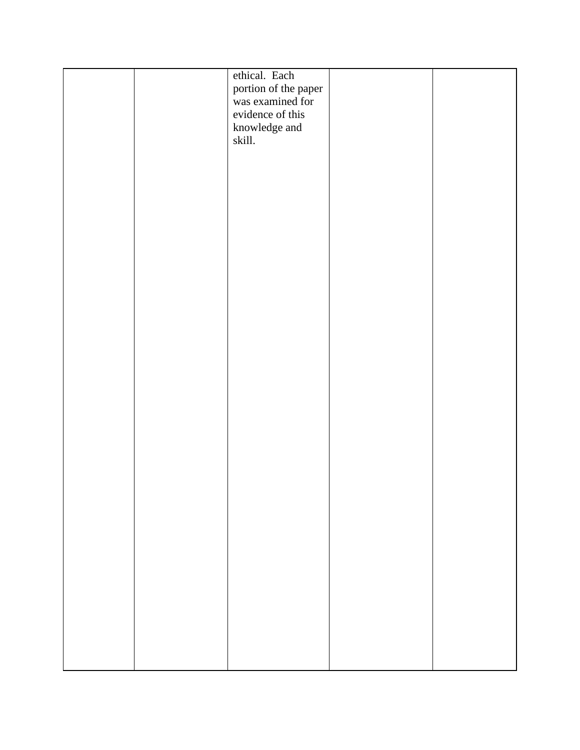|  | ethical. Each<br>portion of the paper<br>was examined for<br>evidence of this<br>knowledge and<br>skill. |  |
|--|----------------------------------------------------------------------------------------------------------|--|
|  |                                                                                                          |  |
|  |                                                                                                          |  |
|  |                                                                                                          |  |
|  |                                                                                                          |  |
|  |                                                                                                          |  |
|  |                                                                                                          |  |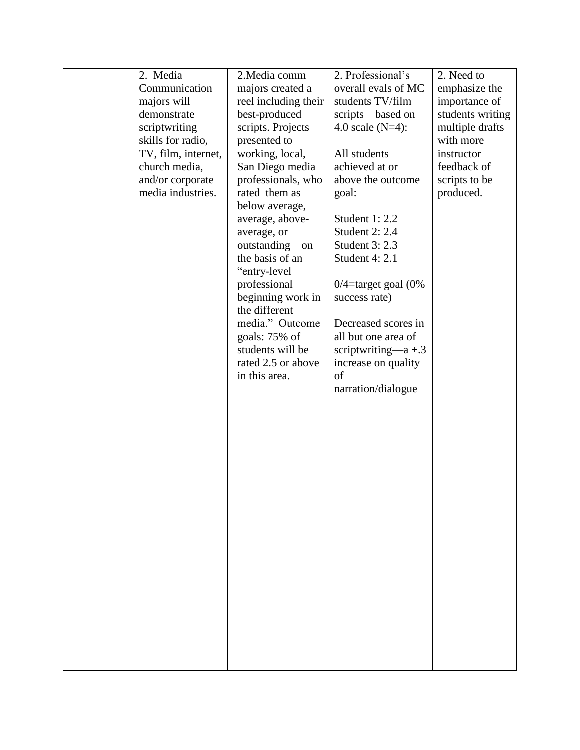| 2. Media            | 2. Media comm                      | 2. Professional's        | 2. Need to       |
|---------------------|------------------------------------|--------------------------|------------------|
| Communication       | majors created a                   | overall evals of MC      | emphasize the    |
| majors will         | reel including their               | students TV/film         | importance of    |
| demonstrate         | best-produced                      | scripts—based on         | students writing |
| scriptwriting       | scripts. Projects                  | 4.0 scale $(N=4)$ :      | multiple drafts  |
| skills for radio,   | presented to                       |                          | with more        |
| TV, film, internet, | working, local,                    | All students             | instructor       |
| church media,       | San Diego media                    | achieved at or           | feedback of      |
| and/or corporate    | professionals, who                 | above the outcome        | scripts to be    |
| media industries.   | rated them as                      | goal:                    | produced.        |
|                     | below average,                     |                          |                  |
|                     | average, above-                    | Student 1: 2.2           |                  |
|                     | average, or                        | <b>Student 2: 2.4</b>    |                  |
|                     | outstanding-on                     | Student 3: 2.3           |                  |
|                     | the basis of an                    | Student 4: 2.1           |                  |
|                     | "entry-level"                      |                          |                  |
|                     | professional                       | $0/4$ =target goal (0%   |                  |
|                     | beginning work in<br>the different | success rate)            |                  |
|                     | media." Outcome                    | Decreased scores in      |                  |
|                     | goals: 75% of                      | all but one area of      |                  |
|                     | students will be                   | scriptwriting— $a + 0.3$ |                  |
|                     | rated 2.5 or above                 | increase on quality      |                  |
|                     | in this area.                      | of                       |                  |
|                     |                                    | narration/dialogue       |                  |
|                     |                                    |                          |                  |
|                     |                                    |                          |                  |
|                     |                                    |                          |                  |
|                     |                                    |                          |                  |
|                     |                                    |                          |                  |
|                     |                                    |                          |                  |
|                     |                                    |                          |                  |
|                     |                                    |                          |                  |
|                     |                                    |                          |                  |
|                     |                                    |                          |                  |
|                     |                                    |                          |                  |
|                     |                                    |                          |                  |
|                     |                                    |                          |                  |
|                     |                                    |                          |                  |
|                     |                                    |                          |                  |
|                     |                                    |                          |                  |
|                     |                                    |                          |                  |
|                     |                                    |                          |                  |
|                     |                                    |                          |                  |
|                     |                                    |                          |                  |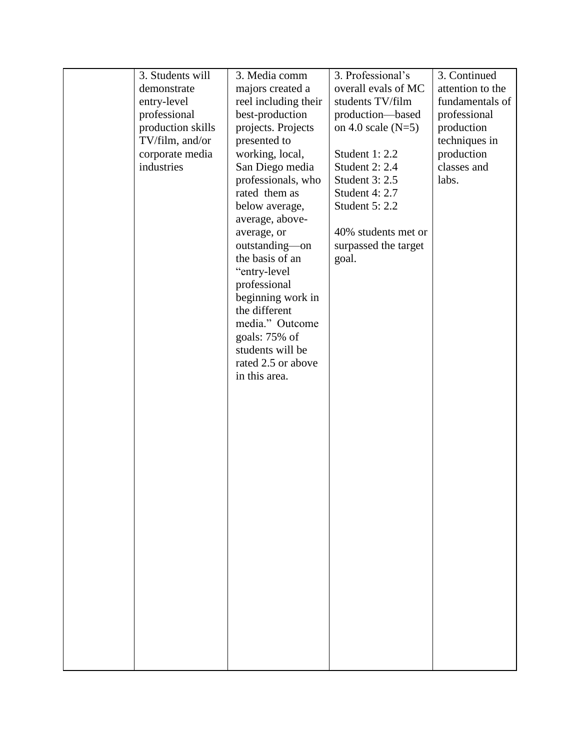| 3. Students will  | 3. Media comm        | 3. Professional's    | 3. Continued     |
|-------------------|----------------------|----------------------|------------------|
| demonstrate       | majors created a     | overall evals of MC  | attention to the |
| entry-level       | reel including their | students TV/film     | fundamentals of  |
| professional      | best-production      | production-based     | professional     |
| production skills | projects. Projects   | on 4.0 scale $(N=5)$ | production       |
| TV/film, and/or   | presented to         |                      | techniques in    |
| corporate media   | working, local,      | Student 1: 2.2       | production       |
| industries        | San Diego media      | Student 2: 2.4       | classes and      |
|                   | professionals, who   | Student 3: 2.5       | labs.            |
|                   | rated them as        | Student 4: 2.7       |                  |
|                   | below average,       | Student 5: 2.2       |                  |
|                   | average, above-      |                      |                  |
|                   | average, or          | 40% students met or  |                  |
|                   | outstanding-on       | surpassed the target |                  |
|                   | the basis of an      | goal.                |                  |
|                   | "entry-level         |                      |                  |
|                   | professional         |                      |                  |
|                   | beginning work in    |                      |                  |
|                   | the different        |                      |                  |
|                   | media." Outcome      |                      |                  |
|                   | goals: 75% of        |                      |                  |
|                   | students will be     |                      |                  |
|                   | rated 2.5 or above   |                      |                  |
|                   | in this area.        |                      |                  |
|                   |                      |                      |                  |
|                   |                      |                      |                  |
|                   |                      |                      |                  |
|                   |                      |                      |                  |
|                   |                      |                      |                  |
|                   |                      |                      |                  |
|                   |                      |                      |                  |
|                   |                      |                      |                  |
|                   |                      |                      |                  |
|                   |                      |                      |                  |
|                   |                      |                      |                  |
|                   |                      |                      |                  |
|                   |                      |                      |                  |
|                   |                      |                      |                  |
|                   |                      |                      |                  |
|                   |                      |                      |                  |
|                   |                      |                      |                  |
|                   |                      |                      |                  |
|                   |                      |                      |                  |
|                   |                      |                      |                  |
|                   |                      |                      |                  |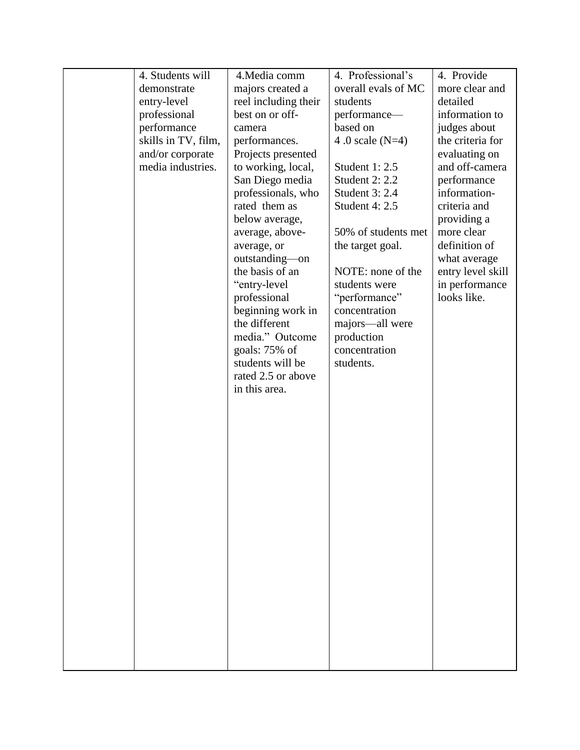| 4. Students will    | 4. Media comm        | 4. Professional's     | 4. Provide        |
|---------------------|----------------------|-----------------------|-------------------|
| demonstrate         | majors created a     | overall evals of MC   | more clear and    |
| entry-level         | reel including their | students              | detailed          |
| professional        | best on or off-      | performance-          | information to    |
| performance         | camera               | based on              | judges about      |
| skills in TV, film, | performances.        | 4.0 scale $(N=4)$     | the criteria for  |
| and/or corporate    | Projects presented   |                       | evaluating on     |
| media industries.   | to working, local,   | Student 1: 2.5        | and off-camera    |
|                     | San Diego media      | <b>Student 2: 2.2</b> | performance       |
|                     | professionals, who   | Student 3: 2.4        | information-      |
|                     | rated them as        | Student 4: 2.5        | criteria and      |
|                     | below average,       |                       | providing a       |
|                     | average, above-      | 50% of students met   | more clear        |
|                     | average, or          | the target goal.      | definition of     |
|                     | outstanding-on       |                       | what average      |
|                     | the basis of an      | NOTE: none of the     | entry level skill |
|                     | "entry-level         | students were         | in performance    |
|                     | professional         | "performance"         | looks like.       |
|                     | beginning work in    | concentration         |                   |
|                     | the different        | majors-all were       |                   |
|                     | media." Outcome      | production            |                   |
|                     | goals: 75% of        | concentration         |                   |
|                     | students will be     | students.             |                   |
|                     | rated 2.5 or above   |                       |                   |
|                     | in this area.        |                       |                   |
|                     |                      |                       |                   |
|                     |                      |                       |                   |
|                     |                      |                       |                   |
|                     |                      |                       |                   |
|                     |                      |                       |                   |
|                     |                      |                       |                   |
|                     |                      |                       |                   |
|                     |                      |                       |                   |
|                     |                      |                       |                   |
|                     |                      |                       |                   |
|                     |                      |                       |                   |
|                     |                      |                       |                   |
|                     |                      |                       |                   |
|                     |                      |                       |                   |
|                     |                      |                       |                   |
|                     |                      |                       |                   |
|                     |                      |                       |                   |
|                     |                      |                       |                   |
|                     |                      |                       |                   |
|                     |                      |                       |                   |